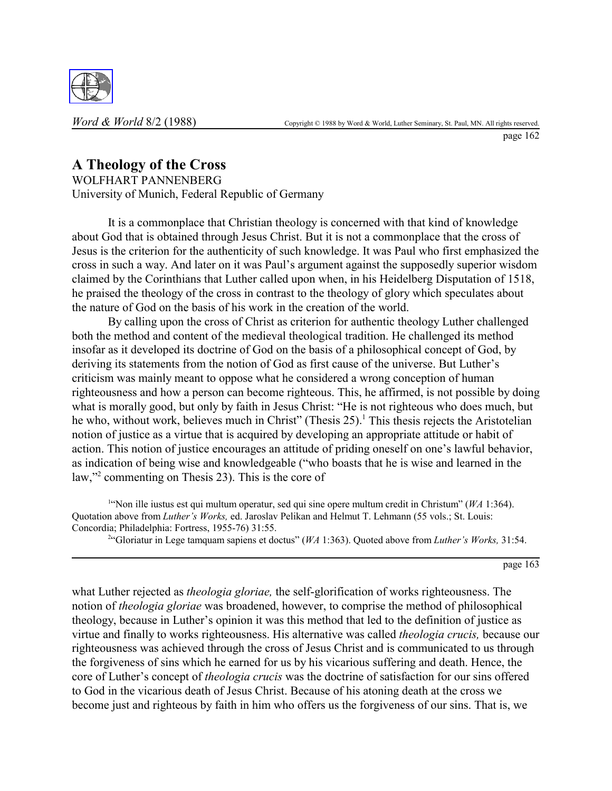

page 162

# **A Theology of the Cross**

WOLFHART PANNENBERG University of Munich, Federal Republic of Germany

It is a commonplace that Christian theology is concerned with that kind of knowledge about God that is obtained through Jesus Christ. But it is not a commonplace that the cross of Jesus is the criterion for the authenticity of such knowledge. It was Paul who first emphasized the cross in such a way. And later on it was Paul's argument against the supposedly superior wisdom claimed by the Corinthians that Luther called upon when, in his Heidelberg Disputation of 1518, he praised the theology of the cross in contrast to the theology of glory which speculates about the nature of God on the basis of his work in the creation of the world.

By calling upon the cross of Christ as criterion for authentic theology Luther challenged both the method and content of the medieval theological tradition. He challenged its method insofar as it developed its doctrine of God on the basis of a philosophical concept of God, by deriving its statements from the notion of God as first cause of the universe. But Luther's criticism was mainly meant to oppose what he considered a wrong conception of human righteousness and how a person can become righteous. This, he affirmed, is not possible by doing what is morally good, but only by faith in Jesus Christ: "He is not righteous who does much, but he who, without work, believes much in Christ" (Thesis 25).<sup>1</sup> This thesis rejects the Aristotelian notion of justice as a virtue that is acquired by developing an appropriate attitude or habit of action. This notion of justice encourages an attitude of priding oneself on one's lawful behavior, as indication of being wise and knowledgeable ("who boasts that he is wise and learned in the law,"2 commenting on Thesis 23). This is the core of

1 "Non ille iustus est qui multum operatur, sed qui sine opere multum credit in Christum" (*WA* 1:364). Quotation above from *Luther's Works,* ed. Jaroslav Pelikan and Helmut T. Lehmann (55 vols.; St. Louis: Concordia; Philadelphia: Fortress, 1955-76) 31:55.

2 "Gloriatur in Lege tamquam sapiens et doctus" (*WA* 1:363). Quoted above from *Luther's Works,* 31:54.

page 163

what Luther rejected as *theologia gloriae,* the self-glorification of works righteousness. The notion of *theologia gloriae* was broadened, however, to comprise the method of philosophical theology, because in Luther's opinion it was this method that led to the definition of justice as virtue and finally to works righteousness. His alternative was called *theologia crucis,* because our righteousness was achieved through the cross of Jesus Christ and is communicated to us through the forgiveness of sins which he earned for us by his vicarious suffering and death. Hence, the core of Luther's concept of *theologia crucis* was the doctrine of satisfaction for our sins offered to God in the vicarious death of Jesus Christ. Because of his atoning death at the cross we become just and righteous by faith in him who offers us the forgiveness of our sins. That is, we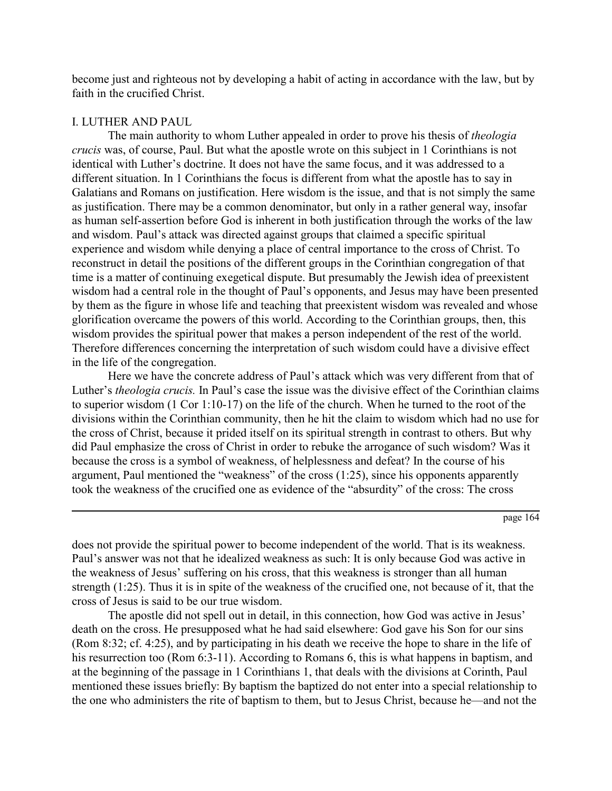become just and righteous not by developing a habit of acting in accordance with the law, but by faith in the crucified Christ.

### I. LUTHER AND PAUL

The main authority to whom Luther appealed in order to prove his thesis of *theologia crucis* was, of course, Paul. But what the apostle wrote on this subject in 1 Corinthians is not identical with Luther's doctrine. It does not have the same focus, and it was addressed to a different situation. In 1 Corinthians the focus is different from what the apostle has to say in Galatians and Romans on justification. Here wisdom is the issue, and that is not simply the same as justification. There may be a common denominator, but only in a rather general way, insofar as human self-assertion before God is inherent in both justification through the works of the law and wisdom. Paul's attack was directed against groups that claimed a specific spiritual experience and wisdom while denying a place of central importance to the cross of Christ. To reconstruct in detail the positions of the different groups in the Corinthian congregation of that time is a matter of continuing exegetical dispute. But presumably the Jewish idea of preexistent wisdom had a central role in the thought of Paul's opponents, and Jesus may have been presented by them as the figure in whose life and teaching that preexistent wisdom was revealed and whose glorification overcame the powers of this world. According to the Corinthian groups, then, this wisdom provides the spiritual power that makes a person independent of the rest of the world. Therefore differences concerning the interpretation of such wisdom could have a divisive effect in the life of the congregation.

Here we have the concrete address of Paul's attack which was very different from that of Luther's *theologia crucis.* In Paul's case the issue was the divisive effect of the Corinthian claims to superior wisdom (1 Cor 1:10-17) on the life of the church. When he turned to the root of the divisions within the Corinthian community, then he hit the claim to wisdom which had no use for the cross of Christ, because it prided itself on its spiritual strength in contrast to others. But why did Paul emphasize the cross of Christ in order to rebuke the arrogance of such wisdom? Was it because the cross is a symbol of weakness, of helplessness and defeat? In the course of his argument, Paul mentioned the "weakness" of the cross (1:25), since his opponents apparently took the weakness of the crucified one as evidence of the "absurdity" of the cross: The cross

does not provide the spiritual power to become independent of the world. That is its weakness. Paul's answer was not that he idealized weakness as such: It is only because God was active in the weakness of Jesus' suffering on his cross, that this weakness is stronger than all human strength (1:25). Thus it is in spite of the weakness of the crucified one, not because of it, that the cross of Jesus is said to be our true wisdom.

The apostle did not spell out in detail, in this connection, how God was active in Jesus' death on the cross. He presupposed what he had said elsewhere: God gave his Son for our sins (Rom 8:32; cf. 4:25), and by participating in his death we receive the hope to share in the life of his resurrection too (Rom 6:3-11). According to Romans 6, this is what happens in baptism, and at the beginning of the passage in 1 Corinthians 1, that deals with the divisions at Corinth, Paul mentioned these issues briefly: By baptism the baptized do not enter into a special relationship to the one who administers the rite of baptism to them, but to Jesus Christ, because he—and not the

page 164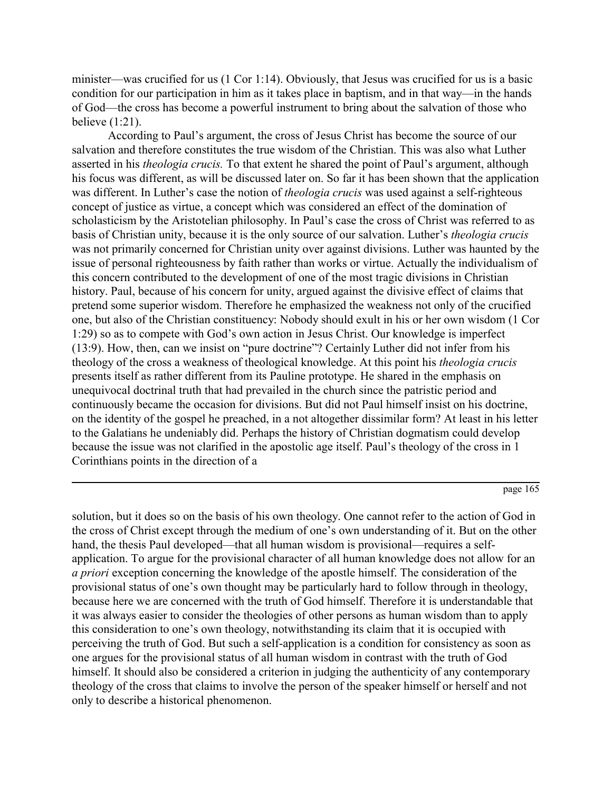minister—was crucified for us (1 Cor 1:14). Obviously, that Jesus was crucified for us is a basic condition for our participation in him as it takes place in baptism, and in that way—in the hands of God—the cross has become a powerful instrument to bring about the salvation of those who believe (1:21).

According to Paul's argument, the cross of Jesus Christ has become the source of our salvation and therefore constitutes the true wisdom of the Christian. This was also what Luther asserted in his *theologia crucis.* To that extent he shared the point of Paul's argument, although his focus was different, as will be discussed later on. So far it has been shown that the application was different. In Luther's case the notion of *theologia crucis* was used against a self-righteous concept of justice as virtue, a concept which was considered an effect of the domination of scholasticism by the Aristotelian philosophy. In Paul's case the cross of Christ was referred to as basis of Christian unity, because it is the only source of our salvation. Luther's *theologia crucis* was not primarily concerned for Christian unity over against divisions. Luther was haunted by the issue of personal righteousness by faith rather than works or virtue. Actually the individualism of this concern contributed to the development of one of the most tragic divisions in Christian history. Paul, because of his concern for unity, argued against the divisive effect of claims that pretend some superior wisdom. Therefore he emphasized the weakness not only of the crucified one, but also of the Christian constituency: Nobody should exult in his or her own wisdom (1 Cor 1:29) so as to compete with God's own action in Jesus Christ. Our knowledge is imperfect (13:9). How, then, can we insist on "pure doctrine"? Certainly Luther did not infer from his theology of the cross a weakness of theological knowledge. At this point his *theologia crucis* presents itself as rather different from its Pauline prototype. He shared in the emphasis on unequivocal doctrinal truth that had prevailed in the church since the patristic period and continuously became the occasion for divisions. But did not Paul himself insist on his doctrine, on the identity of the gospel he preached, in a not altogether dissimilar form? At least in his letter to the Galatians he undeniably did. Perhaps the history of Christian dogmatism could develop because the issue was not clarified in the apostolic age itself. Paul's theology of the cross in 1 Corinthians points in the direction of a

page 165

solution, but it does so on the basis of his own theology. One cannot refer to the action of God in the cross of Christ except through the medium of one's own understanding of it. But on the other hand, the thesis Paul developed—that all human wisdom is provisional—requires a selfapplication. To argue for the provisional character of all human knowledge does not allow for an *a priori* exception concerning the knowledge of the apostle himself. The consideration of the provisional status of one's own thought may be particularly hard to follow through in theology, because here we are concerned with the truth of God himself. Therefore it is understandable that it was always easier to consider the theologies of other persons as human wisdom than to apply this consideration to one's own theology, notwithstanding its claim that it is occupied with perceiving the truth of God. But such a self-application is a condition for consistency as soon as one argues for the provisional status of all human wisdom in contrast with the truth of God himself. It should also be considered a criterion in judging the authenticity of any contemporary theology of the cross that claims to involve the person of the speaker himself or herself and not only to describe a historical phenomenon.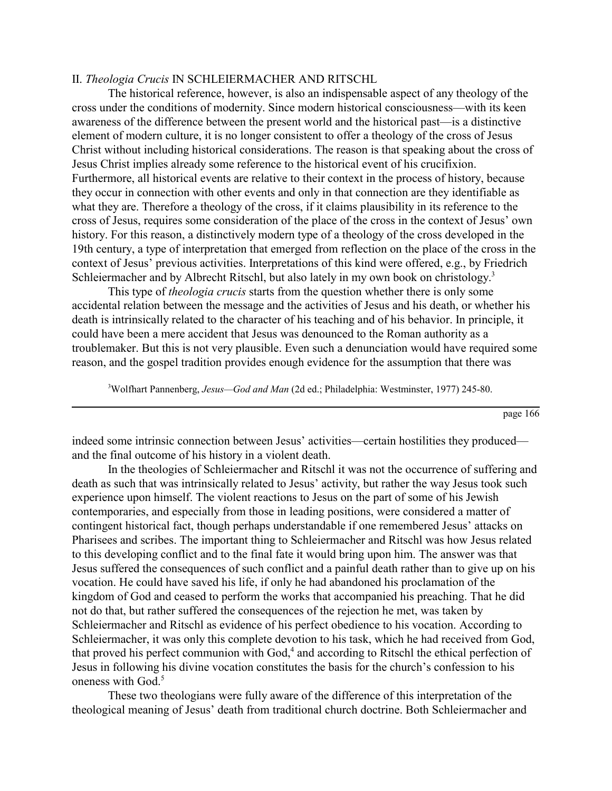## II. *Theologia Crucis* IN SCHLEIERMACHER AND RITSCHL

The historical reference, however, is also an indispensable aspect of any theology of the cross under the conditions of modernity. Since modern historical consciousness—with its keen awareness of the difference between the present world and the historical past—is a distinctive element of modern culture, it is no longer consistent to offer a theology of the cross of Jesus Christ without including historical considerations. The reason is that speaking about the cross of Jesus Christ implies already some reference to the historical event of his crucifixion. Furthermore, all historical events are relative to their context in the process of history, because they occur in connection with other events and only in that connection are they identifiable as what they are. Therefore a theology of the cross, if it claims plausibility in its reference to the cross of Jesus, requires some consideration of the place of the cross in the context of Jesus' own history. For this reason, a distinctively modern type of a theology of the cross developed in the 19th century, a type of interpretation that emerged from reflection on the place of the cross in the context of Jesus' previous activities. Interpretations of this kind were offered, e.g., by Friedrich Schleiermacher and by Albrecht Ritschl, but also lately in my own book on christology.<sup>3</sup>

This type of *theologia crucis* starts from the question whether there is only some accidental relation between the message and the activities of Jesus and his death, or whether his death is intrinsically related to the character of his teaching and of his behavior. In principle, it could have been a mere accident that Jesus was denounced to the Roman authority as a troublemaker. But this is not very plausible. Even such a denunciation would have required some reason, and the gospel tradition provides enough evidence for the assumption that there was

3 Wolfhart Pannenberg, *Jesus—God and Man* (2d ed.; Philadelphia: Westminster, 1977) 245-80.

page 166

indeed some intrinsic connection between Jesus' activities—certain hostilities they produced and the final outcome of his history in a violent death.

In the theologies of Schleiermacher and Ritschl it was not the occurrence of suffering and death as such that was intrinsically related to Jesus' activity, but rather the way Jesus took such experience upon himself. The violent reactions to Jesus on the part of some of his Jewish contemporaries, and especially from those in leading positions, were considered a matter of contingent historical fact, though perhaps understandable if one remembered Jesus' attacks on Pharisees and scribes. The important thing to Schleiermacher and Ritschl was how Jesus related to this developing conflict and to the final fate it would bring upon him. The answer was that Jesus suffered the consequences of such conflict and a painful death rather than to give up on his vocation. He could have saved his life, if only he had abandoned his proclamation of the kingdom of God and ceased to perform the works that accompanied his preaching. That he did not do that, but rather suffered the consequences of the rejection he met, was taken by Schleiermacher and Ritschl as evidence of his perfect obedience to his vocation. According to Schleiermacher, it was only this complete devotion to his task, which he had received from God, that proved his perfect communion with God,<sup>4</sup> and according to Ritschl the ethical perfection of Jesus in following his divine vocation constitutes the basis for the church's confession to his oneness with God.<sup>5</sup>

These two theologians were fully aware of the difference of this interpretation of the theological meaning of Jesus' death from traditional church doctrine. Both Schleiermacher and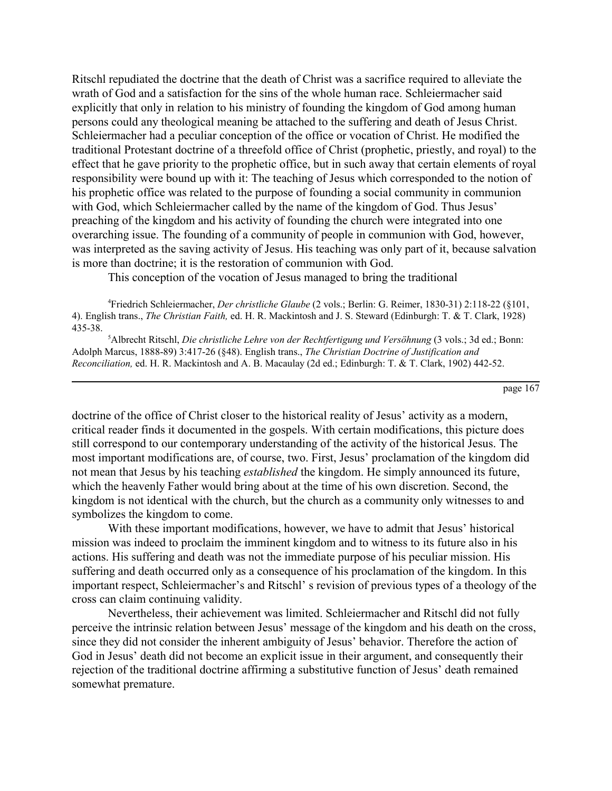Ritschl repudiated the doctrine that the death of Christ was a sacrifice required to alleviate the wrath of God and a satisfaction for the sins of the whole human race. Schleiermacher said explicitly that only in relation to his ministry of founding the kingdom of God among human persons could any theological meaning be attached to the suffering and death of Jesus Christ. Schleiermacher had a peculiar conception of the office or vocation of Christ. He modified the traditional Protestant doctrine of a threefold office of Christ (prophetic, priestly, and royal) to the effect that he gave priority to the prophetic office, but in such away that certain elements of royal responsibility were bound up with it: The teaching of Jesus which corresponded to the notion of his prophetic office was related to the purpose of founding a social community in communion with God, which Schleiermacher called by the name of the kingdom of God. Thus Jesus' preaching of the kingdom and his activity of founding the church were integrated into one overarching issue. The founding of a community of people in communion with God, however, was interpreted as the saving activity of Jesus. His teaching was only part of it, because salvation is more than doctrine; it is the restoration of communion with God.

This conception of the vocation of Jesus managed to bring the traditional

4 Friedrich Schleiermacher, *Der christliche Glaube* (2 vols.; Berlin: G. Reimer, 1830-31) 2:118-22 (§101, 4). English trans., *The Christian Faith,* ed. H. R. Mackintosh and J. S. Steward (Edinburgh: T. & T. Clark, 1928) 435-38.

5 Albrecht Ritschl, *Die christliche Lehre von der Rechtfertigung und Versöhnung* (3 vols.; 3d ed.; Bonn: Adolph Marcus, 1888-89) 3:417-26 (§48). English trans., *The Christian Doctrine of Justification and Reconciliation,* ed. H. R. Mackintosh and A. B. Macaulay (2d ed.; Edinburgh: T. & T. Clark, 1902) 442-52.

page 167

doctrine of the office of Christ closer to the historical reality of Jesus' activity as a modern, critical reader finds it documented in the gospels. With certain modifications, this picture does still correspond to our contemporary understanding of the activity of the historical Jesus. The most important modifications are, of course, two. First, Jesus' proclamation of the kingdom did not mean that Jesus by his teaching *established* the kingdom. He simply announced its future, which the heavenly Father would bring about at the time of his own discretion. Second, the kingdom is not identical with the church, but the church as a community only witnesses to and symbolizes the kingdom to come.

With these important modifications, however, we have to admit that Jesus' historical mission was indeed to proclaim the imminent kingdom and to witness to its future also in his actions. His suffering and death was not the immediate purpose of his peculiar mission. His suffering and death occurred only as a consequence of his proclamation of the kingdom. In this important respect, Schleiermacher's and Ritschl' s revision of previous types of a theology of the cross can claim continuing validity.

Nevertheless, their achievement was limited. Schleiermacher and Ritschl did not fully perceive the intrinsic relation between Jesus' message of the kingdom and his death on the cross, since they did not consider the inherent ambiguity of Jesus' behavior. Therefore the action of God in Jesus' death did not become an explicit issue in their argument, and consequently their rejection of the traditional doctrine affirming a substitutive function of Jesus' death remained somewhat premature.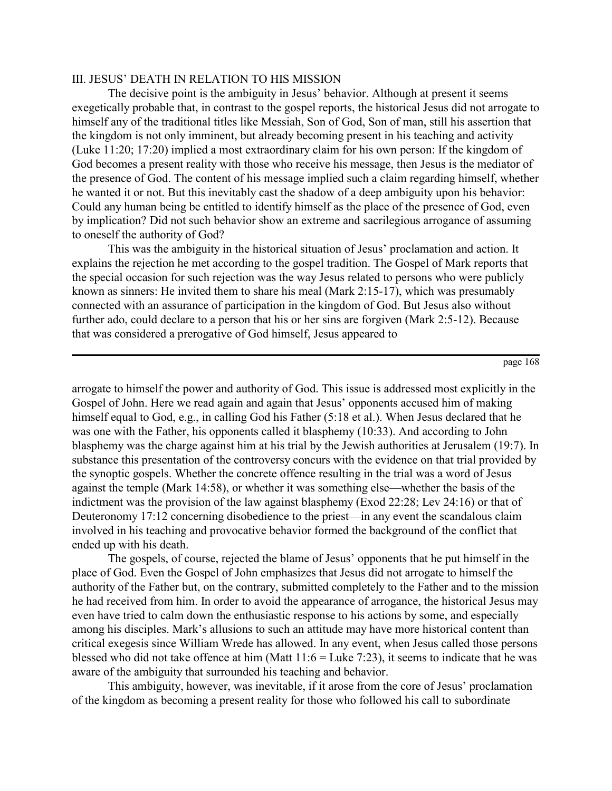## III. JESUS' DEATH IN RELATION TO HIS MISSION

The decisive point is the ambiguity in Jesus' behavior. Although at present it seems exegetically probable that, in contrast to the gospel reports, the historical Jesus did not arrogate to himself any of the traditional titles like Messiah, Son of God, Son of man, still his assertion that the kingdom is not only imminent, but already becoming present in his teaching and activity (Luke 11:20; 17:20) implied a most extraordinary claim for his own person: If the kingdom of God becomes a present reality with those who receive his message, then Jesus is the mediator of the presence of God. The content of his message implied such a claim regarding himself, whether he wanted it or not. But this inevitably cast the shadow of a deep ambiguity upon his behavior: Could any human being be entitled to identify himself as the place of the presence of God, even by implication? Did not such behavior show an extreme and sacrilegious arrogance of assuming to oneself the authority of God?

This was the ambiguity in the historical situation of Jesus' proclamation and action. It explains the rejection he met according to the gospel tradition. The Gospel of Mark reports that the special occasion for such rejection was the way Jesus related to persons who were publicly known as sinners: He invited them to share his meal (Mark 2:15-17), which was presumably connected with an assurance of participation in the kingdom of God. But Jesus also without further ado, could declare to a person that his or her sins are forgiven (Mark 2:5-12). Because that was considered a prerogative of God himself, Jesus appeared to

page 168

arrogate to himself the power and authority of God. This issue is addressed most explicitly in the Gospel of John. Here we read again and again that Jesus' opponents accused him of making himself equal to God, e.g., in calling God his Father (5:18 et al.). When Jesus declared that he was one with the Father, his opponents called it blasphemy (10:33). And according to John blasphemy was the charge against him at his trial by the Jewish authorities at Jerusalem (19:7). In substance this presentation of the controversy concurs with the evidence on that trial provided by the synoptic gospels. Whether the concrete offence resulting in the trial was a word of Jesus against the temple (Mark 14:58), or whether it was something else—whether the basis of the indictment was the provision of the law against blasphemy (Exod 22:28; Lev 24:16) or that of Deuteronomy 17:12 concerning disobedience to the priest—in any event the scandalous claim involved in his teaching and provocative behavior formed the background of the conflict that ended up with his death.

The gospels, of course, rejected the blame of Jesus' opponents that he put himself in the place of God. Even the Gospel of John emphasizes that Jesus did not arrogate to himself the authority of the Father but, on the contrary, submitted completely to the Father and to the mission he had received from him. In order to avoid the appearance of arrogance, the historical Jesus may even have tried to calm down the enthusiastic response to his actions by some, and especially among his disciples. Mark's allusions to such an attitude may have more historical content than critical exegesis since William Wrede has allowed. In any event, when Jesus called those persons blessed who did not take offence at him (Matt  $11:6 =$  Luke 7:23), it seems to indicate that he was aware of the ambiguity that surrounded his teaching and behavior.

This ambiguity, however, was inevitable, if it arose from the core of Jesus' proclamation of the kingdom as becoming a present reality for those who followed his call to subordinate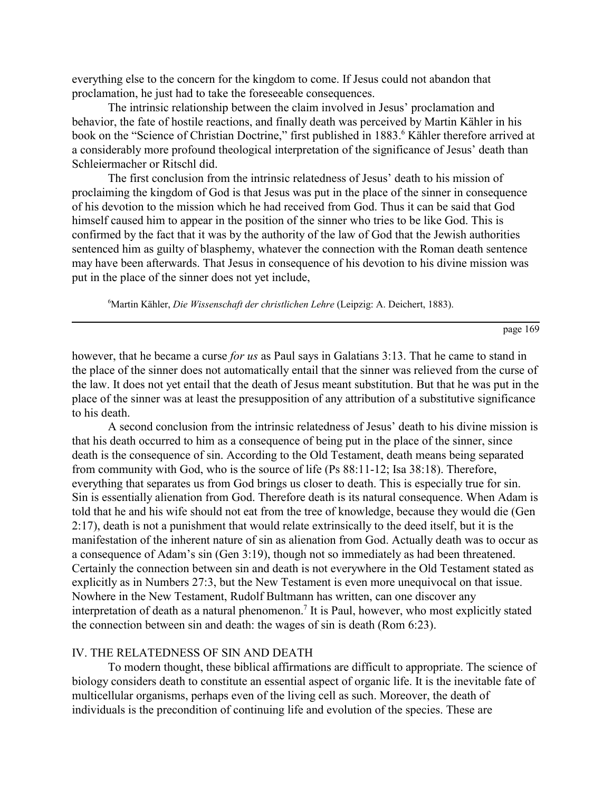everything else to the concern for the kingdom to come. If Jesus could not abandon that proclamation, he just had to take the foreseeable consequences.

The intrinsic relationship between the claim involved in Jesus' proclamation and behavior, the fate of hostile reactions, and finally death was perceived by Martin Kähler in his book on the "Science of Christian Doctrine," first published in 1883.<sup>6</sup> Kähler therefore arrived at a considerably more profound theological interpretation of the significance of Jesus' death than Schleiermacher or Ritschl did.

The first conclusion from the intrinsic relatedness of Jesus' death to his mission of proclaiming the kingdom of God is that Jesus was put in the place of the sinner in consequence of his devotion to the mission which he had received from God. Thus it can be said that God himself caused him to appear in the position of the sinner who tries to be like God. This is confirmed by the fact that it was by the authority of the law of God that the Jewish authorities sentenced him as guilty of blasphemy, whatever the connection with the Roman death sentence may have been afterwards. That Jesus in consequence of his devotion to his divine mission was put in the place of the sinner does not yet include,

6 Martin Kähler, *Die Wissenschaft der christlichen Lehre* (Leipzig: A. Deichert, 1883).

page 169

however, that he became a curse *for us* as Paul says in Galatians 3:13. That he came to stand in the place of the sinner does not automatically entail that the sinner was relieved from the curse of the law. It does not yet entail that the death of Jesus meant substitution. But that he was put in the place of the sinner was at least the presupposition of any attribution of a substitutive significance to his death.

A second conclusion from the intrinsic relatedness of Jesus' death to his divine mission is that his death occurred to him as a consequence of being put in the place of the sinner, since death is the consequence of sin. According to the Old Testament, death means being separated from community with God, who is the source of life (Ps 88:11-12; Isa 38:18). Therefore, everything that separates us from God brings us closer to death. This is especially true for sin. Sin is essentially alienation from God. Therefore death is its natural consequence. When Adam is told that he and his wife should not eat from the tree of knowledge, because they would die (Gen 2:17), death is not a punishment that would relate extrinsically to the deed itself, but it is the manifestation of the inherent nature of sin as alienation from God. Actually death was to occur as a consequence of Adam's sin (Gen 3:19), though not so immediately as had been threatened. Certainly the connection between sin and death is not everywhere in the Old Testament stated as explicitly as in Numbers 27:3, but the New Testament is even more unequivocal on that issue. Nowhere in the New Testament, Rudolf Bultmann has written, can one discover any interpretation of death as a natural phenomenon.<sup>7</sup> It is Paul, however, who most explicitly stated the connection between sin and death: the wages of sin is death (Rom 6:23).

#### IV. THE RELATEDNESS OF SIN AND DEATH

To modern thought, these biblical affirmations are difficult to appropriate. The science of biology considers death to constitute an essential aspect of organic life. It is the inevitable fate of multicellular organisms, perhaps even of the living cell as such. Moreover, the death of individuals is the precondition of continuing life and evolution of the species. These are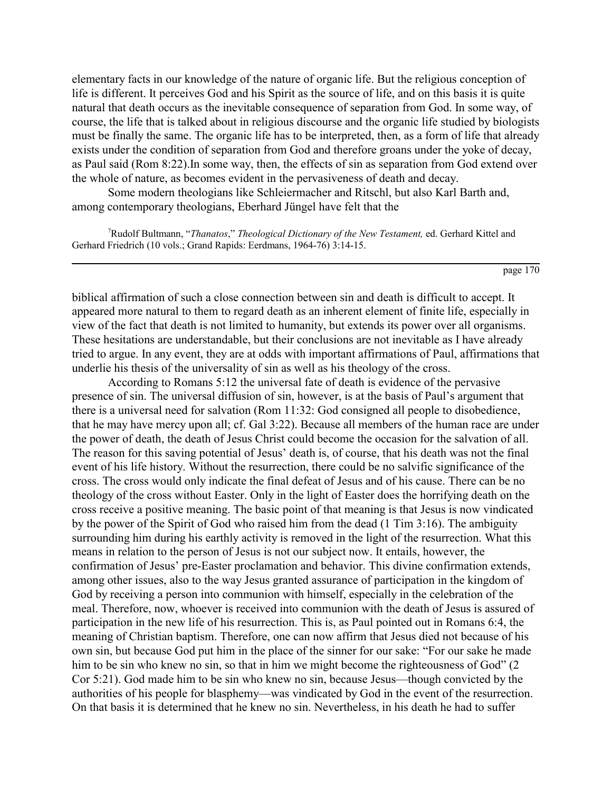elementary facts in our knowledge of the nature of organic life. But the religious conception of life is different. It perceives God and his Spirit as the source of life, and on this basis it is quite natural that death occurs as the inevitable consequence of separation from God. In some way, of course, the life that is talked about in religious discourse and the organic life studied by biologists must be finally the same. The organic life has to be interpreted, then, as a form of life that already exists under the condition of separation from God and therefore groans under the yoke of decay, as Paul said (Rom 8:22).In some way, then, the effects of sin as separation from God extend over the whole of nature, as becomes evident in the pervasiveness of death and decay.

Some modern theologians like Schleiermacher and Ritschl, but also Karl Barth and, among contemporary theologians, Eberhard Jüngel have felt that the

7 Rudolf Bultmann, "*Thanatos*," *Theological Dictionary of the New Testament,* ed. Gerhard Kittel and Gerhard Friedrich (10 vols.; Grand Rapids: Eerdmans, 1964-76) 3:14-15.

page 170

biblical affirmation of such a close connection between sin and death is difficult to accept. It appeared more natural to them to regard death as an inherent element of finite life, especially in view of the fact that death is not limited to humanity, but extends its power over all organisms. These hesitations are understandable, but their conclusions are not inevitable as I have already tried to argue. In any event, they are at odds with important affirmations of Paul, affirmations that underlie his thesis of the universality of sin as well as his theology of the cross.

According to Romans 5:12 the universal fate of death is evidence of the pervasive presence of sin. The universal diffusion of sin, however, is at the basis of Paul's argument that there is a universal need for salvation (Rom 11:32: God consigned all people to disobedience, that he may have mercy upon all; cf. Gal 3:22). Because all members of the human race are under the power of death, the death of Jesus Christ could become the occasion for the salvation of all. The reason for this saving potential of Jesus' death is, of course, that his death was not the final event of his life history. Without the resurrection, there could be no salvific significance of the cross. The cross would only indicate the final defeat of Jesus and of his cause. There can be no theology of the cross without Easter. Only in the light of Easter does the horrifying death on the cross receive a positive meaning. The basic point of that meaning is that Jesus is now vindicated by the power of the Spirit of God who raised him from the dead (1 Tim 3:16). The ambiguity surrounding him during his earthly activity is removed in the light of the resurrection. What this means in relation to the person of Jesus is not our subject now. It entails, however, the confirmation of Jesus' pre-Easter proclamation and behavior. This divine confirmation extends, among other issues, also to the way Jesus granted assurance of participation in the kingdom of God by receiving a person into communion with himself, especially in the celebration of the meal. Therefore, now, whoever is received into communion with the death of Jesus is assured of participation in the new life of his resurrection. This is, as Paul pointed out in Romans 6:4, the meaning of Christian baptism. Therefore, one can now affirm that Jesus died not because of his own sin, but because God put him in the place of the sinner for our sake: "For our sake he made him to be sin who knew no sin, so that in him we might become the righteousness of God" (2) Cor 5:21). God made him to be sin who knew no sin, because Jesus—though convicted by the authorities of his people for blasphemy—was vindicated by God in the event of the resurrection. On that basis it is determined that he knew no sin. Nevertheless, in his death he had to suffer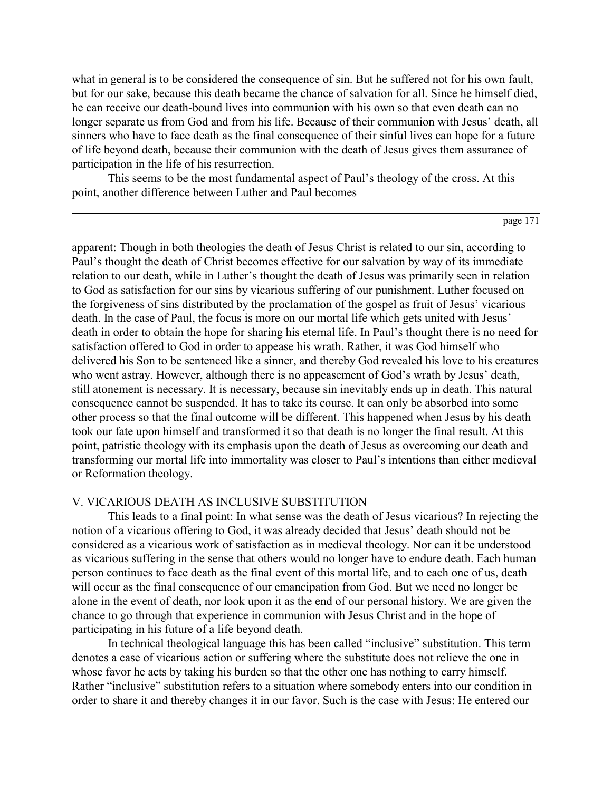what in general is to be considered the consequence of sin. But he suffered not for his own fault, but for our sake, because this death became the chance of salvation for all. Since he himself died, he can receive our death-bound lives into communion with his own so that even death can no longer separate us from God and from his life. Because of their communion with Jesus' death, all sinners who have to face death as the final consequence of their sinful lives can hope for a future of life beyond death, because their communion with the death of Jesus gives them assurance of participation in the life of his resurrection.

This seems to be the most fundamental aspect of Paul's theology of the cross. At this point, another difference between Luther and Paul becomes

page 171

apparent: Though in both theologies the death of Jesus Christ is related to our sin, according to Paul's thought the death of Christ becomes effective for our salvation by way of its immediate relation to our death, while in Luther's thought the death of Jesus was primarily seen in relation to God as satisfaction for our sins by vicarious suffering of our punishment. Luther focused on the forgiveness of sins distributed by the proclamation of the gospel as fruit of Jesus' vicarious death. In the case of Paul, the focus is more on our mortal life which gets united with Jesus' death in order to obtain the hope for sharing his eternal life. In Paul's thought there is no need for satisfaction offered to God in order to appease his wrath. Rather, it was God himself who delivered his Son to be sentenced like a sinner, and thereby God revealed his love to his creatures who went astray. However, although there is no appeasement of God's wrath by Jesus' death, still atonement is necessary. It is necessary, because sin inevitably ends up in death. This natural consequence cannot be suspended. It has to take its course. It can only be absorbed into some other process so that the final outcome will be different. This happened when Jesus by his death took our fate upon himself and transformed it so that death is no longer the final result. At this point, patristic theology with its emphasis upon the death of Jesus as overcoming our death and transforming our mortal life into immortality was closer to Paul's intentions than either medieval or Reformation theology.

# V. VICARIOUS DEATH AS INCLUSIVE SUBSTITUTION

This leads to a final point: In what sense was the death of Jesus vicarious? In rejecting the notion of a vicarious offering to God, it was already decided that Jesus' death should not be considered as a vicarious work of satisfaction as in medieval theology. Nor can it be understood as vicarious suffering in the sense that others would no longer have to endure death. Each human person continues to face death as the final event of this mortal life, and to each one of us, death will occur as the final consequence of our emancipation from God. But we need no longer be alone in the event of death, nor look upon it as the end of our personal history. We are given the chance to go through that experience in communion with Jesus Christ and in the hope of participating in his future of a life beyond death.

In technical theological language this has been called "inclusive" substitution. This term denotes a case of vicarious action or suffering where the substitute does not relieve the one in whose favor he acts by taking his burden so that the other one has nothing to carry himself. Rather "inclusive" substitution refers to a situation where somebody enters into our condition in order to share it and thereby changes it in our favor. Such is the case with Jesus: He entered our